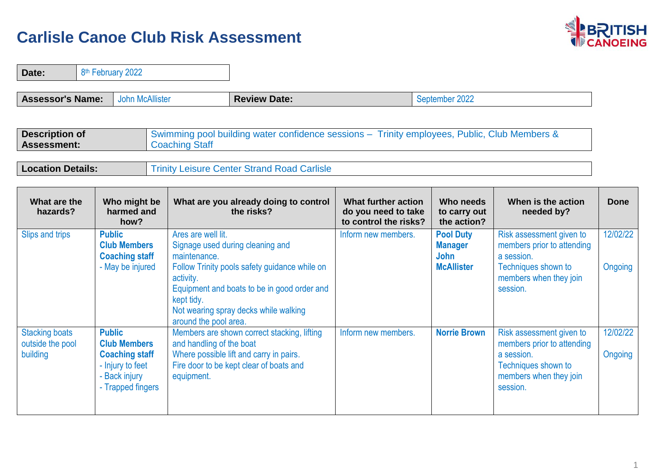$\overline{\phantom{0}}$ 



| Date:                                                 | 8 <sup>th</sup> February 2022 |                                                                                                        |                                                                                        |                                                                                                                                                                           |                                                                     |                                                                        |                                                                                                                                   |                     |
|-------------------------------------------------------|-------------------------------|--------------------------------------------------------------------------------------------------------|----------------------------------------------------------------------------------------|---------------------------------------------------------------------------------------------------------------------------------------------------------------------------|---------------------------------------------------------------------|------------------------------------------------------------------------|-----------------------------------------------------------------------------------------------------------------------------------|---------------------|
| <b>Assessor's Name:</b>                               |                               | <b>John McAllister</b>                                                                                 |                                                                                        | <b>Review Date:</b>                                                                                                                                                       |                                                                     | September 2022                                                         |                                                                                                                                   |                     |
| <b>Description of</b><br><b>Assessment:</b>           |                               |                                                                                                        | <b>Coaching Staff</b>                                                                  | Swimming pool building water confidence sessions - Trinity employees, Public, Club Members &                                                                              |                                                                     |                                                                        |                                                                                                                                   |                     |
| <b>Location Details:</b>                              |                               |                                                                                                        |                                                                                        | <b>Trinity Leisure Center Strand Road Carlisle</b>                                                                                                                        |                                                                     |                                                                        |                                                                                                                                   |                     |
| What are the<br>hazards?                              |                               | Who might be<br>harmed and<br>how?                                                                     |                                                                                        | What are you already doing to control<br>the risks?                                                                                                                       | What further action<br>do you need to take<br>to control the risks? | Who needs<br>to carry out<br>the action?                               | When is the action<br>needed by?                                                                                                  | <b>Done</b>         |
| Slips and trips                                       | <b>Public</b>                 | <b>Club Members</b><br><b>Coaching staff</b><br>- May be injured                                       | Ares are well lit.<br>maintenance.<br>activity.<br>kept tidy.<br>around the pool area. | Signage used during cleaning and<br>Follow Trinity pools safety guidance while on<br>Equipment and boats to be in good order and<br>Not wearing spray decks while walking | Inform new members.                                                 | <b>Pool Duty</b><br><b>Manager</b><br><b>John</b><br><b>McAllister</b> | Risk assessment given to<br>members prior to attending<br>a session.<br>Techniques shown to<br>members when they join<br>session. | 12/02/22<br>Ongoing |
| <b>Stacking boats</b><br>outside the pool<br>building | <b>Public</b>                 | <b>Club Members</b><br><b>Coaching staff</b><br>- Injury to feet<br>- Back injury<br>- Trapped fingers | and handling of the boat<br>equipment.                                                 | Members are shown correct stacking, lifting<br>Where possible lift and carry in pairs.<br>Fire door to be kept clear of boats and                                         | Inform new members.                                                 | <b>Norrie Brown</b>                                                    | Risk assessment given to<br>members prior to attending<br>a session.<br>Techniques shown to<br>members when they join<br>session. | 12/02/22<br>Ongoing |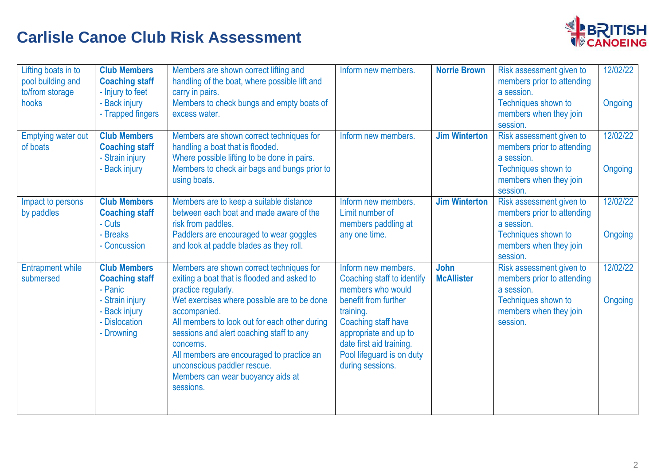

| Lifting boats in to<br>pool building and<br>to/from storage<br>hooks | <b>Club Members</b><br><b>Coaching staff</b><br>- Injury to feet<br>- Back injury<br>- Trapped fingers                     | Members are shown correct lifting and<br>handling of the boat, where possible lift and<br>carry in pairs.<br>Members to check bungs and empty boats of<br>excess water.                                                                                                                                                                                                                                               | Inform new members.                                                                                                                                                                                                                      | <b>Norrie Brown</b>              | Risk assessment given to<br>members prior to attending<br>a session.<br>Techniques shown to<br>members when they join<br>session. | 12/02/22<br>Ongoing |
|----------------------------------------------------------------------|----------------------------------------------------------------------------------------------------------------------------|-----------------------------------------------------------------------------------------------------------------------------------------------------------------------------------------------------------------------------------------------------------------------------------------------------------------------------------------------------------------------------------------------------------------------|------------------------------------------------------------------------------------------------------------------------------------------------------------------------------------------------------------------------------------------|----------------------------------|-----------------------------------------------------------------------------------------------------------------------------------|---------------------|
| <b>Emptying water out</b><br>of boats                                | <b>Club Members</b><br><b>Coaching staff</b><br>- Strain injury<br>- Back injury                                           | Members are shown correct techniques for<br>handling a boat that is flooded.<br>Where possible lifting to be done in pairs.<br>Members to check air bags and bungs prior to<br>using boats.                                                                                                                                                                                                                           | Inform new members.                                                                                                                                                                                                                      | <b>Jim Winterton</b>             | Risk assessment given to<br>members prior to attending<br>a session.<br>Techniques shown to<br>members when they join<br>session. | 12/02/22<br>Ongoing |
| Impact to persons<br>by paddles                                      | <b>Club Members</b><br><b>Coaching staff</b><br>- Cuts<br>- Breaks<br>- Concussion                                         | Members are to keep a suitable distance<br>between each boat and made aware of the<br>risk from paddles.<br>Paddlers are encouraged to wear goggles<br>and look at paddle blades as they roll.                                                                                                                                                                                                                        | Inform new members.<br>Limit number of<br>members paddling at<br>any one time.                                                                                                                                                           | <b>Jim Winterton</b>             | Risk assessment given to<br>members prior to attending<br>a session.<br>Techniques shown to<br>members when they join<br>session. | 12/02/22<br>Ongoing |
| <b>Entrapment while</b><br>submersed                                 | <b>Club Members</b><br><b>Coaching staff</b><br>- Panic<br>- Strain injury<br>- Back injury<br>- Dislocation<br>- Drowning | Members are shown correct techniques for<br>exiting a boat that is flooded and asked to<br>practice regularly.<br>Wet exercises where possible are to be done<br>accompanied.<br>All members to look out for each other during<br>sessions and alert coaching staff to any<br>concerns.<br>All members are encouraged to practice an<br>unconscious paddler rescue.<br>Members can wear buoyancy aids at<br>sessions. | Inform new members.<br>Coaching staff to identify<br>members who would<br>benefit from further<br>training.<br>Coaching staff have<br>appropriate and up to<br>date first aid training.<br>Pool lifeguard is on duty<br>during sessions. | <b>John</b><br><b>McAllister</b> | Risk assessment given to<br>members prior to attending<br>a session.<br>Techniques shown to<br>members when they join<br>session. | 12/02/22<br>Ongoing |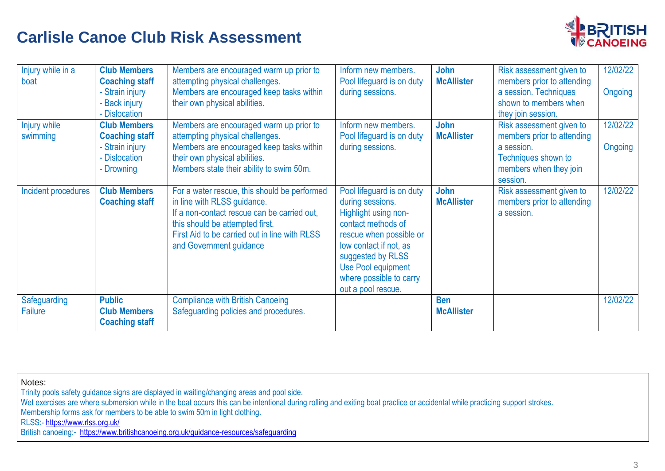

| Injury while in a<br>boat      | <b>Club Members</b><br><b>Coaching staff</b><br>- Strain injury<br>- Back injury<br>- Dislocation | Members are encouraged warm up prior to<br>attempting physical challenges.<br>Members are encouraged keep tasks within<br>their own physical abilities.                                                                                   | Inform new members.<br>Pool lifeguard is on duty<br>during sessions.                                                                                                                                                                         | John<br><b>McAllister</b>       | Risk assessment given to<br>members prior to attending<br>a session. Techniques<br>shown to members when<br>they join session.    | 12/02/22<br>Ongoing |
|--------------------------------|---------------------------------------------------------------------------------------------------|-------------------------------------------------------------------------------------------------------------------------------------------------------------------------------------------------------------------------------------------|----------------------------------------------------------------------------------------------------------------------------------------------------------------------------------------------------------------------------------------------|---------------------------------|-----------------------------------------------------------------------------------------------------------------------------------|---------------------|
| Injury while<br>swimming       | <b>Club Members</b><br><b>Coaching staff</b><br>- Strain injury<br>- Dislocation<br>- Drowning    | Members are encouraged warm up prior to<br>attempting physical challenges.<br>Members are encouraged keep tasks within<br>their own physical abilities.<br>Members state their ability to swim 50m.                                       | Inform new members.<br>Pool lifeguard is on duty<br>during sessions.                                                                                                                                                                         | John<br><b>McAllister</b>       | Risk assessment given to<br>members prior to attending<br>a session.<br>Techniques shown to<br>members when they join<br>session. | 12/02/22<br>Ongoing |
| Incident procedures            | <b>Club Members</b><br><b>Coaching staff</b>                                                      | For a water rescue, this should be performed<br>in line with RLSS guidance.<br>If a non-contact rescue can be carried out,<br>this should be attempted first.<br>First Aid to be carried out in line with RLSS<br>and Government guidance | Pool lifeguard is on duty<br>during sessions.<br>Highlight using non-<br>contact methods of<br>rescue when possible or<br>low contact if not, as<br>suggested by RLSS<br>Use Pool equipment<br>where possible to carry<br>out a pool rescue. | John<br><b>McAllister</b>       | Risk assessment given to<br>members prior to attending<br>a session.                                                              | 12/02/22            |
| Safeguarding<br><b>Failure</b> | <b>Public</b><br><b>Club Members</b><br><b>Coaching staff</b>                                     | <b>Compliance with British Canoeing</b><br>Safeguarding policies and procedures.                                                                                                                                                          |                                                                                                                                                                                                                                              | <b>Ben</b><br><b>McAllister</b> |                                                                                                                                   | 12/02/22            |

Notes: Trinity pools safety guidance signs are displayed in waiting/changing areas and pool side. Wet exercises are where submersion while in the boat occurs this can be intentional during rolling and exiting boat practice or accidental while practicing support strokes. Membership forms ask for members to be able to swim 50m in light clothing. RLSS:- <https://www.rlss.org.uk/> British canoeing:- https://www.britishcanoeing.org.uk/quidance-resources/safequarding